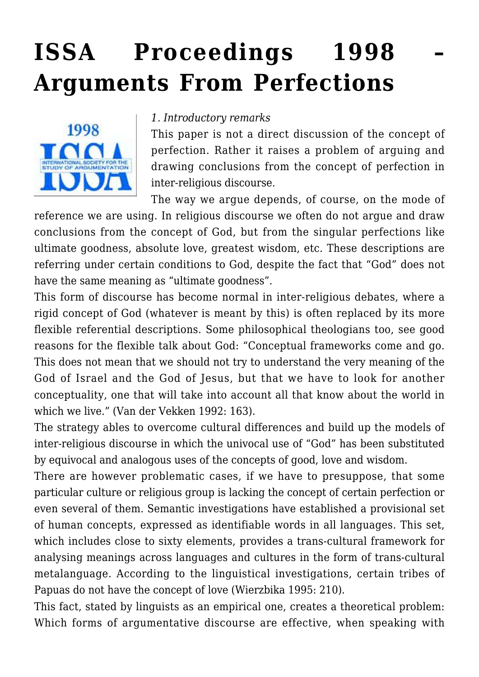# **[ISSA Proceedings 1998 –](https://rozenbergquarterly.com/issa-proceedings-1998-arguments-from-perfections/) [Arguments From Perfections](https://rozenbergquarterly.com/issa-proceedings-1998-arguments-from-perfections/)**



#### *1. Introductory remarks*

This paper is not a direct discussion of the concept of perfection. Rather it raises a problem of arguing and drawing conclusions from the concept of perfection in inter-religious discourse.

The way we argue depends, of course, on the mode of

reference we are using. In religious discourse we often do not argue and draw conclusions from the concept of God, but from the singular perfections like ultimate goodness, absolute love, greatest wisdom, etc. These descriptions are referring under certain conditions to God, despite the fact that "God" does not have the same meaning as "ultimate goodness".

This form of discourse has become normal in inter-religious debates, where a rigid concept of God (whatever is meant by this) is often replaced by its more flexible referential descriptions. Some philosophical theologians too, see good reasons for the flexible talk about God: "Conceptual frameworks come and go. This does not mean that we should not try to understand the very meaning of the God of Israel and the God of Jesus, but that we have to look for another conceptuality, one that will take into account all that know about the world in which we live." (Van der Vekken 1992: 163).

The strategy ables to overcome cultural differences and build up the models of inter-religious discourse in which the univocal use of "God" has been substituted by equivocal and analogous uses of the concepts of good, love and wisdom.

There are however problematic cases, if we have to presuppose, that some particular culture or religious group is lacking the concept of certain perfection or even several of them. Semantic investigations have established a provisional set of human concepts, expressed as identifiable words in all languages. This set, which includes close to sixty elements, provides a trans-cultural framework for analysing meanings across languages and cultures in the form of trans-cultural metalanguage. According to the linguistical investigations, certain tribes of Papuas do not have the concept of love (Wierzbika 1995: 210).

This fact, stated by linguists as an empirical one, creates a theoretical problem: Which forms of argumentative discourse are effective, when speaking with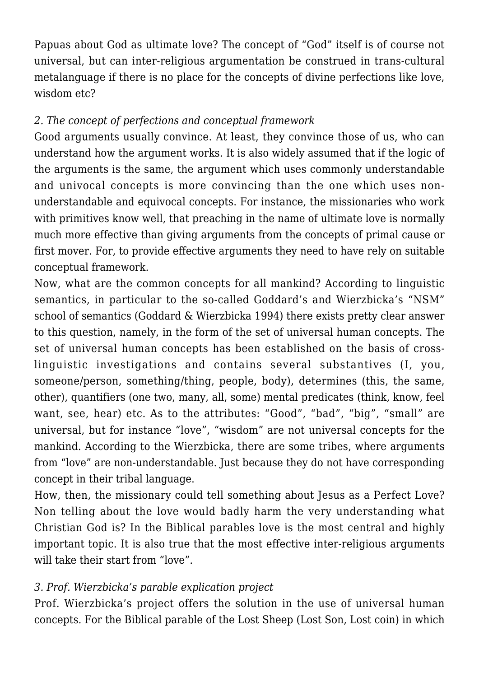Papuas about God as ultimate love? The concept of "God" itself is of course not universal, but can inter-religious argumentation be construed in trans-cultural metalanguage if there is no place for the concepts of divine perfections like love, wisdom etc?

# *2. The concept of perfections and conceptual framework*

Good arguments usually convince. At least, they convince those of us, who can understand how the argument works. It is also widely assumed that if the logic of the arguments is the same, the argument which uses commonly understandable and univocal concepts is more convincing than the one which uses nonunderstandable and equivocal concepts. For instance, the missionaries who work with primitives know well, that preaching in the name of ultimate love is normally much more effective than giving arguments from the concepts of primal cause or first mover. For, to provide effective arguments they need to have rely on suitable conceptual framework.

Now, what are the common concepts for all mankind? According to linguistic semantics, in particular to the so-called Goddard's and Wierzbicka's "NSM" school of semantics (Goddard & Wierzbicka 1994) there exists pretty clear answer to this question, namely, in the form of the set of universal human concepts. The set of universal human concepts has been established on the basis of crosslinguistic investigations and contains several substantives (I, you, someone/person, something/thing, people, body), determines (this, the same, other), quantifiers (one two, many, all, some) mental predicates (think, know, feel want, see, hear) etc. As to the attributes: "Good", "bad", "big", "small" are universal, but for instance "love", "wisdom" are not universal concepts for the mankind. According to the Wierzbicka, there are some tribes, where arguments from "love" are non-understandable. Just because they do not have corresponding concept in their tribal language.

How, then, the missionary could tell something about Jesus as a Perfect Love? Non telling about the love would badly harm the very understanding what Christian God is? In the Biblical parables love is the most central and highly important topic. It is also true that the most effective inter-religious arguments will take their start from "love".

# *3. Prof. Wierzbicka's parable explication project*

Prof. Wierzbicka's project offers the solution in the use of universal human concepts. For the Biblical parable of the Lost Sheep (Lost Son, Lost coin) in which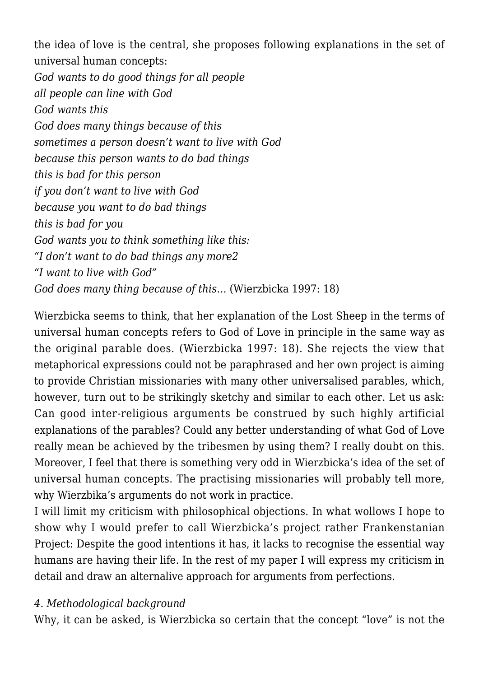the idea of love is the central, she proposes following explanations in the set of universal human concepts:

*God wants to do good things for all people all people can line with God God wants this God does many things because of this sometimes a person doesn't want to live with God because this person wants to do bad things this is bad for this person if you don't want to live with God because you want to do bad things this is bad for you God wants you to think something like this: "I don't want to do bad things any more2 "I want to live with God" God does many thing because of this…* (Wierzbicka 1997: 18)

Wierzbicka seems to think, that her explanation of the Lost Sheep in the terms of universal human concepts refers to God of Love in principle in the same way as the original parable does. (Wierzbicka 1997: 18). She rejects the view that metaphorical expressions could not be paraphrased and her own project is aiming to provide Christian missionaries with many other universalised parables, which, however, turn out to be strikingly sketchy and similar to each other. Let us ask: Can good inter-religious arguments be construed by such highly artificial explanations of the parables? Could any better understanding of what God of Love really mean be achieved by the tribesmen by using them? I really doubt on this. Moreover, I feel that there is something very odd in Wierzbicka's idea of the set of universal human concepts. The practising missionaries will probably tell more, why Wierzbika's arguments do not work in practice.

I will limit my criticism with philosophical objections. In what wollows I hope to show why I would prefer to call Wierzbicka's project rather Frankenstanian Project: Despite the good intentions it has, it lacks to recognise the essential way humans are having their life. In the rest of my paper I will express my criticism in detail and draw an alternalive approach for arguments from perfections.

#### *4. Methodological background*

Why, it can be asked, is Wierzbicka so certain that the concept "love" is not the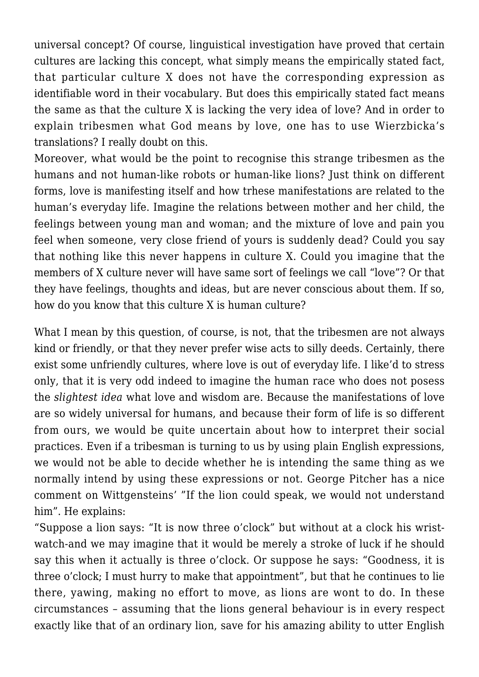universal concept? Of course, linguistical investigation have proved that certain cultures are lacking this concept, what simply means the empirically stated fact, that particular culture X does not have the corresponding expression as identifiable word in their vocabulary. But does this empirically stated fact means the same as that the culture X is lacking the very idea of love? And in order to explain tribesmen what God means by love, one has to use Wierzbicka's translations? I really doubt on this.

Moreover, what would be the point to recognise this strange tribesmen as the humans and not human-like robots or human-like lions? Just think on different forms, love is manifesting itself and how trhese manifestations are related to the human's everyday life. Imagine the relations between mother and her child, the feelings between young man and woman; and the mixture of love and pain you feel when someone, very close friend of yours is suddenly dead? Could you say that nothing like this never happens in culture X. Could you imagine that the members of X culture never will have same sort of feelings we call "love"? Or that they have feelings, thoughts and ideas, but are never conscious about them. If so, how do you know that this culture X is human culture?

What I mean by this question, of course, is not, that the tribesmen are not always kind or friendly, or that they never prefer wise acts to silly deeds. Certainly, there exist some unfriendly cultures, where love is out of everyday life. I like'd to stress only, that it is very odd indeed to imagine the human race who does not posess the *slightest idea* what love and wisdom are. Because the manifestations of love are so widely universal for humans, and because their form of life is so different from ours, we would be quite uncertain about how to interpret their social practices. Even if a tribesman is turning to us by using plain English expressions, we would not be able to decide whether he is intending the same thing as we normally intend by using these expressions or not. George Pitcher has a nice comment on Wittgensteins' "If the lion could speak, we would not understand him". He explains:

"Suppose a lion says: "It is now three o'clock" but without at a clock his wristwatch-and we may imagine that it would be merely a stroke of luck if he should say this when it actually is three o'clock. Or suppose he says: "Goodness, it is three o'clock; I must hurry to make that appointment", but that he continues to lie there, yawing, making no effort to move, as lions are wont to do. In these circumstances – assuming that the lions general behaviour is in every respect exactly like that of an ordinary lion, save for his amazing ability to utter English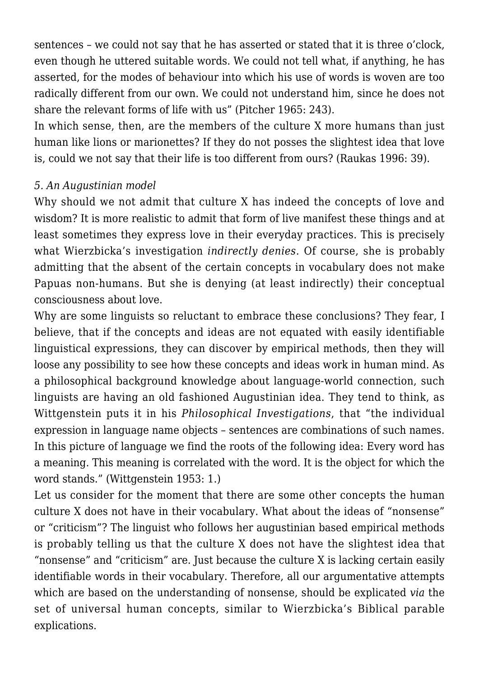sentences – we could not say that he has asserted or stated that it is three o'clock, even though he uttered suitable words. We could not tell what, if anything, he has asserted, for the modes of behaviour into which his use of words is woven are too radically different from our own. We could not understand him, since he does not share the relevant forms of life with us" (Pitcher 1965: 243).

In which sense, then, are the members of the culture X more humans than just human like lions or marionettes? If they do not posses the slightest idea that love is, could we not say that their life is too different from ours? (Raukas 1996: 39).

#### *5. An Augustinian model*

Why should we not admit that culture X has indeed the concepts of love and wisdom? It is more realistic to admit that form of live manifest these things and at least sometimes they express love in their everyday practices. This is precisely what Wierzbicka's investigation *indirectly denies*. Of course, she is probably admitting that the absent of the certain concepts in vocabulary does not make Papuas non-humans. But she is denying (at least indirectly) their conceptual consciousness about love.

Why are some linguists so reluctant to embrace these conclusions? They fear, I believe, that if the concepts and ideas are not equated with easily identifiable linguistical expressions, they can discover by empirical methods, then they will loose any possibility to see how these concepts and ideas work in human mind. As a philosophical background knowledge about language-world connection, such linguists are having an old fashioned Augustinian idea. They tend to think, as Wittgenstein puts it in his *Philosophical Investigations*, that "the individual expression in language name objects – sentences are combinations of such names. In this picture of language we find the roots of the following idea: Every word has a meaning. This meaning is correlated with the word. It is the object for which the word stands." (Wittgenstein 1953: 1.)

Let us consider for the moment that there are some other concepts the human culture X does not have in their vocabulary. What about the ideas of "nonsense" or "criticism"? The linguist who follows her augustinian based empirical methods is probably telling us that the culture X does not have the slightest idea that "nonsense" and "criticism" are. Just because the culture X is lacking certain easily identifiable words in their vocabulary. Therefore, all our argumentative attempts which are based on the understanding of nonsense, should be explicated *via* the set of universal human concepts, similar to Wierzbicka's Biblical parable explications.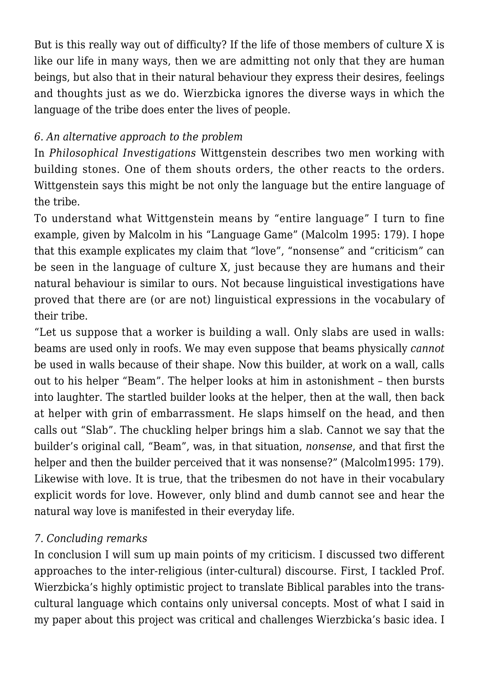But is this really way out of difficulty? If the life of those members of culture X is like our life in many ways, then we are admitting not only that they are human beings, but also that in their natural behaviour they express their desires, feelings and thoughts just as we do. Wierzbicka ignores the diverse ways in which the language of the tribe does enter the lives of people.

## *6. An alternative approach to the problem*

In *Philosophical Investigations* Wittgenstein describes two men working with building stones. One of them shouts orders, the other reacts to the orders. Wittgenstein says this might be not only the language but the entire language of the tribe.

To understand what Wittgenstein means by "entire language" I turn to fine example, given by Malcolm in his "Language Game" (Malcolm 1995: 179). I hope that this example explicates my claim that "love", "nonsense" and "criticism" can be seen in the language of culture X, just because they are humans and their natural behaviour is similar to ours. Not because linguistical investigations have proved that there are (or are not) linguistical expressions in the vocabulary of their tribe.

"Let us suppose that a worker is building a wall. Only slabs are used in walls: beams are used only in roofs. We may even suppose that beams physically *cannot* be used in walls because of their shape. Now this builder, at work on a wall, calls out to his helper "Beam". The helper looks at him in astonishment – then bursts into laughter. The startled builder looks at the helper, then at the wall, then back at helper with grin of embarrassment. He slaps himself on the head, and then calls out "Slab". The chuckling helper brings him a slab. Cannot we say that the builder's original call, "Beam", was, in that situation, *nonsense*, and that first the helper and then the builder perceived that it was nonsense?" (Malcolm1995: 179). Likewise with love. It is true, that the tribesmen do not have in their vocabulary explicit words for love. However, only blind and dumb cannot see and hear the natural way love is manifested in their everyday life.

## *7. Concluding remarks*

In conclusion I will sum up main points of my criticism. I discussed two different approaches to the inter-religious (inter-cultural) discourse. First, I tackled Prof. Wierzbicka's highly optimistic project to translate Biblical parables into the transcultural language which contains only universal concepts. Most of what I said in my paper about this project was critical and challenges Wierzbicka's basic idea. I